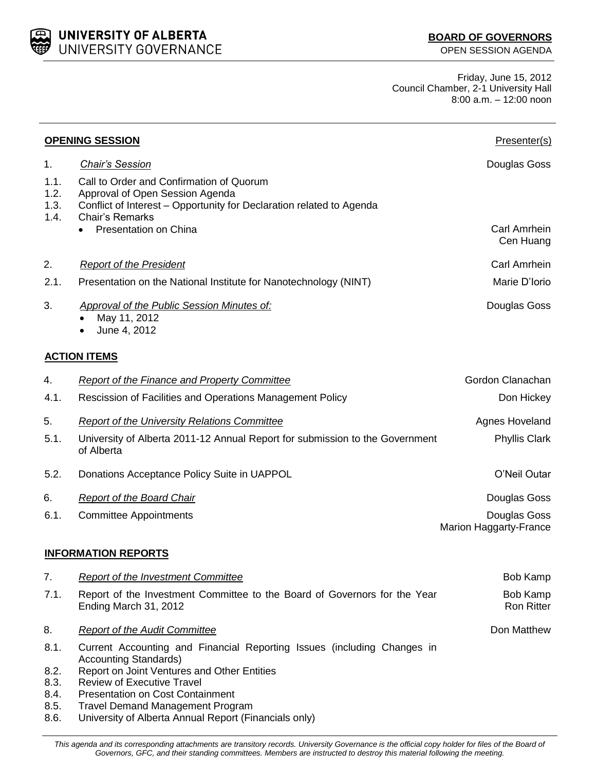UNIVERSITY OF ALBERTA UNIVERSITY GOVERNANCE

Ron Ritter

Friday, June 15, 2012 Council Chamber, 2-1 University Hall 8:00 a.m. – 12:00 noon

|                              | <b>OPENING SESSION</b>                                                                                                                                                        | Presenter(s)                           |
|------------------------------|-------------------------------------------------------------------------------------------------------------------------------------------------------------------------------|----------------------------------------|
| 1.                           | <b>Chair's Session</b>                                                                                                                                                        | Douglas Goss                           |
| 1.1.<br>1.2.<br>1.3.<br>1.4. | Call to Order and Confirmation of Quorum<br>Approval of Open Session Agenda<br>Conflict of Interest - Opportunity for Declaration related to Agenda<br><b>Chair's Remarks</b> |                                        |
|                              | Presentation on China                                                                                                                                                         | Carl Amrhein<br>Cen Huang              |
| 2.                           | <b>Report of the President</b>                                                                                                                                                | Carl Amrhein                           |
| 2.1.                         | Presentation on the National Institute for Nanotechnology (NINT)                                                                                                              | Marie D'Iorio                          |
| 3.                           | <b>Approval of the Public Session Minutes of:</b><br>May 11, 2012<br>June 4, 2012                                                                                             | Douglas Goss                           |
|                              | <b>ACTION ITEMS</b>                                                                                                                                                           |                                        |
| 4.                           | <b>Report of the Finance and Property Committee</b>                                                                                                                           | Gordon Clanachan                       |
| 4.1.                         | Rescission of Facilities and Operations Management Policy                                                                                                                     | Don Hickey                             |
| 5.                           | <b>Report of the University Relations Committee</b>                                                                                                                           | Agnes Hoveland                         |
| 5.1.                         | University of Alberta 2011-12 Annual Report for submission to the Government<br>of Alberta                                                                                    | <b>Phyllis Clark</b>                   |
| 5.2.                         | Donations Acceptance Policy Suite in UAPPOL                                                                                                                                   | O'Neil Outar                           |
| 6.                           | <b>Report of the Board Chair</b>                                                                                                                                              | Douglas Goss                           |
| 6.1.                         | <b>Committee Appointments</b>                                                                                                                                                 | Douglas Goss<br>Marion Haggarty-France |
|                              | <b>INFORMATION REPORTS</b>                                                                                                                                                    |                                        |
| 7.                           | <b>Report of the Investment Committee</b>                                                                                                                                     | <b>Bob Kamp</b>                        |
| 7.1.                         | Report of the Investment Committee to the Board of Governors for the Year                                                                                                     | <b>Bob Kamp</b>                        |

Ending March 31, 2012

8. **Report of the Audit Committee Business Committee Committee** *Report* **of the Audit Committee <b>Don** Matthew

- 8.1. Current Accounting and Financial Reporting Issues (including Changes in Accounting Standards)
- 8.2. Report on Joint Ventures and Other Entities
- 8.3. Review of Executive Travel
- 8.4. Presentation on Cost Containment
- 8.5. Travel Demand Management Program
- 8.6. University of Alberta Annual Report (Financials only)

This agenda and its corresponding attachments are transitory records. University Governance is the official copy holder for files of the Board of *Governors, GFC, and their standing committees. Members are instructed to destroy this material following the meeting.*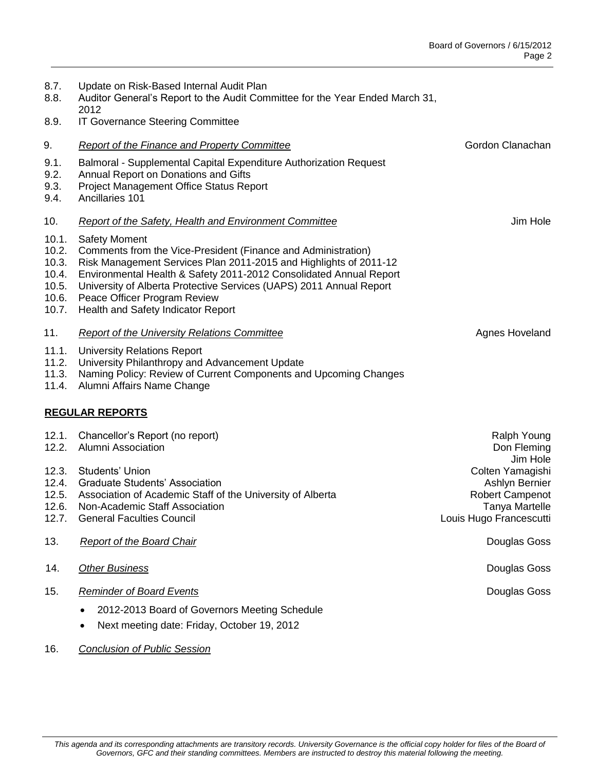Douglas Goss

| 8.7.<br>8.8.<br>8.9.                                               | Update on Risk-Based Internal Audit Plan<br>Auditor General's Report to the Audit Committee for the Year Ended March 31,<br>2012<br><b>IT Governance Steering Committee</b>                                                                                                                                                                                                                                                                    |                                                                                                                |  |  |
|--------------------------------------------------------------------|------------------------------------------------------------------------------------------------------------------------------------------------------------------------------------------------------------------------------------------------------------------------------------------------------------------------------------------------------------------------------------------------------------------------------------------------|----------------------------------------------------------------------------------------------------------------|--|--|
| 9.<br>9.1.<br>9.2.<br>9.3.<br>9.4.                                 | Report of the Finance and Property Committee<br>Balmoral - Supplemental Capital Expenditure Authorization Request<br>Annual Report on Donations and Gifts<br>Project Management Office Status Report<br>Ancillaries 101                                                                                                                                                                                                                        | Gordon Clanachan                                                                                               |  |  |
| 10.<br>10.1.<br>10.2.<br>10.3.<br>10.4.<br>10.5.<br>10.6.<br>10.7. | <b>Report of the Safety, Health and Environment Committee</b><br><b>Safety Moment</b><br>Comments from the Vice-President (Finance and Administration)<br>Risk Management Services Plan 2011-2015 and Highlights of 2011-12<br>Environmental Health & Safety 2011-2012 Consolidated Annual Report<br>University of Alberta Protective Services (UAPS) 2011 Annual Report<br>Peace Officer Program Review<br>Health and Safety Indicator Report | Jim Hole                                                                                                       |  |  |
| 11.<br>11.1.<br>11.2.<br>11.3.<br>11.4.                            | Report of the University Relations Committee<br><b>University Relations Report</b><br>University Philanthropy and Advancement Update<br>Naming Policy: Review of Current Components and Upcoming Changes<br>Alumni Affairs Name Change                                                                                                                                                                                                         | Agnes Hoveland                                                                                                 |  |  |
| <b>REGULAR REPORTS</b>                                             |                                                                                                                                                                                                                                                                                                                                                                                                                                                |                                                                                                                |  |  |
| 12.1.<br>12.2.                                                     | Chancellor's Report (no report)<br><b>Alumni Association</b>                                                                                                                                                                                                                                                                                                                                                                                   | Ralph Young<br>Don Fleming                                                                                     |  |  |
| 12.3.<br>12.4.<br>12.6.<br>12.7.                                   | Students' Union<br><b>Graduate Students' Association</b><br>12.5. Association of Academic Staff of the University of Alberta<br>Non-Academic Staff Association<br><b>General Faculties Council</b>                                                                                                                                                                                                                                             | Jim Hole<br>Colten Yamagishi<br>Ashlyn Bernier<br>Robert Campenot<br>Tanya Martelle<br>Louis Hugo Francescutti |  |  |

## 13. **Report of the Board Chair Chair Chair Chair Chair Chair Chair Chair Chair Chair Douglas Goss**

- 14. Other Business **Douglas Goss** Douglas Goss **Douglas Goss**
- 15. *Reminder of Board Events*
	- 2012-2013 Board of Governors Meeting Schedule
	- Next meeting date: Friday, October 19, 2012
- 16. *Conclusion of Public Session*